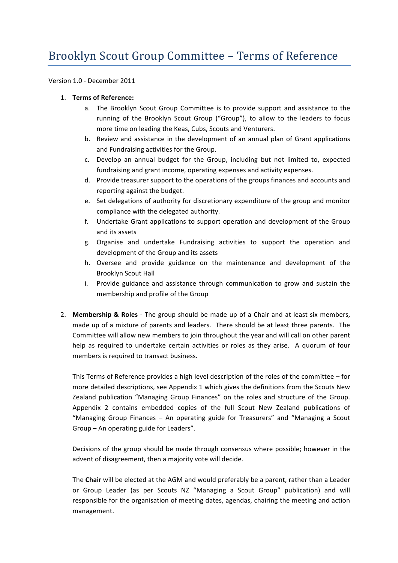# Brooklyn Scout Group Committee - Terms of Reference

Version 1.0 - December 2011

## 1. **Terms of Reference:**

- a. The Brooklyn Scout Group Committee is to provide support and assistance to the running of the Brooklyn Scout Group ("Group"), to allow to the leaders to focus more time on leading the Keas, Cubs, Scouts and Venturers.
- b. Review and assistance in the development of an annual plan of Grant applications and Fundraising activities for the Group.
- c. Develop an annual budget for the Group, including but not limited to, expected fundraising and grant income, operating expenses and activity expenses.
- d. Provide treasurer support to the operations of the groups finances and accounts and reporting against the budget.
- e. Set delegations of authority for discretionary expenditure of the group and monitor compliance with the delegated authority.
- f. Undertake Grant applications to support operation and development of the Group and its assets
- g. Organise and undertake Fundraising activities to support the operation and development of the Group and its assets
- h. Oversee and provide guidance on the maintenance and development of the **Brooklyn Scout Hall**
- i. Provide guidance and assistance through communication to grow and sustain the membership and profile of the Group
- 2. **Membership & Roles** The group should be made up of a Chair and at least six members, made up of a mixture of parents and leaders. There should be at least three parents. The Committee will allow new members to join throughout the year and will call on other parent help as required to undertake certain activities or roles as they arise. A quorum of four members is required to transact business.

This Terms of Reference provides a high level description of the roles of the committee  $-$  for more detailed descriptions, see Appendix 1 which gives the definitions from the Scouts New Zealand publication "Managing Group Finances" on the roles and structure of the Group. Appendix 2 contains embedded copies of the full Scout New Zealand publications of "Managing Group Finances  $-$  An operating guide for Treasurers" and "Managing a Scout Group  $-$  An operating guide for Leaders".

Decisions of the group should be made through consensus where possible; however in the advent of disagreement, then a majority vote will decide.

The **Chair** will be elected at the AGM and would preferably be a parent, rather than a Leader or Group Leader (as per Scouts NZ "Managing a Scout Group" publication) and will responsible for the organisation of meeting dates, agendas, chairing the meeting and action management.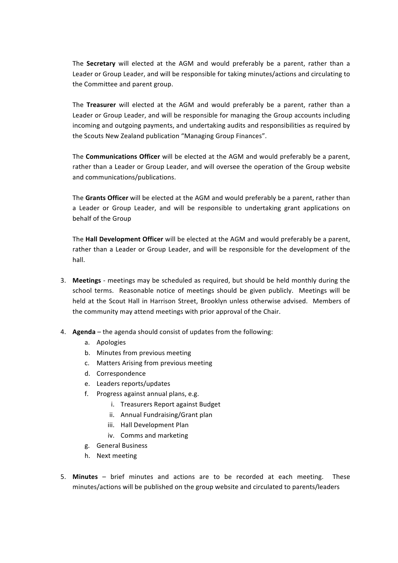The **Secretary** will elected at the AGM and would preferably be a parent, rather than a Leader or Group Leader, and will be responsible for taking minutes/actions and circulating to the Committee and parent group.

The Treasurer will elected at the AGM and would preferably be a parent, rather than a Leader or Group Leader, and will be responsible for managing the Group accounts including incoming and outgoing payments, and undertaking audits and responsibilities as required by the Scouts New Zealand publication "Managing Group Finances".

The **Communications Officer** will be elected at the AGM and would preferably be a parent, rather than a Leader or Group Leader, and will oversee the operation of the Group website and communications/publications.

The Grants Officer will be elected at the AGM and would preferably be a parent, rather than a Leader or Group Leader, and will be responsible to undertaking grant applications on behalf of the Group

The **Hall Development Officer** will be elected at the AGM and would preferably be a parent, rather than a Leader or Group Leader, and will be responsible for the development of the hall.

- 3. **Meetings** meetings may be scheduled as required, but should be held monthly during the school terms. Reasonable notice of meetings should be given publicly. Meetings will be held at the Scout Hall in Harrison Street, Brooklyn unless otherwise advised. Members of the community may attend meetings with prior approval of the Chair.
- 4. **Agenda** the agenda should consist of updates from the following:
	- a. Apologies
	- b. Minutes from previous meeting
	- c. Matters Arising from previous meeting
	- d. Correspondence
	- e. Leaders reports/updates
	- f. Progress against annual plans, e.g.
		- i. Treasurers Report against Budget
		- ii. Annual Fundraising/Grant plan
		- iii. Hall Development Plan
		- iv. Comms and marketing
	- g. General Business
	- h. Next meeting
- 5. **Minutes** brief minutes and actions are to be recorded at each meeting. These minutes/actions will be published on the group website and circulated to parents/leaders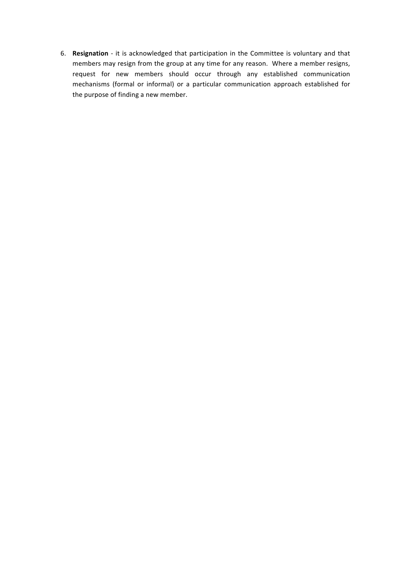6. Resignation - it is acknowledged that participation in the Committee is voluntary and that members may resign from the group at any time for any reason. Where a member resigns, request for new members should occur through any established communication mechanisms (formal or informal) or a particular communication approach established for the purpose of finding a new member.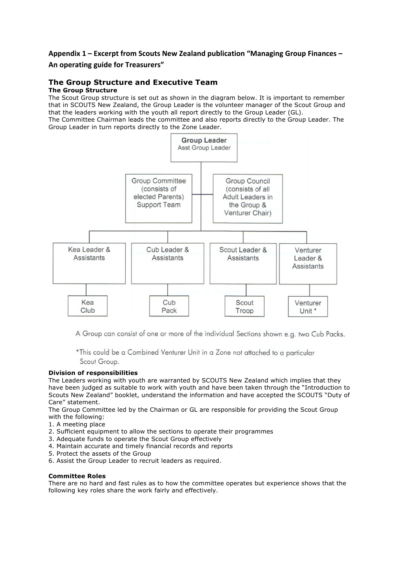# Appendix 1 – Excerpt from Scouts New Zealand publication "Managing Group Finances –

## **An operating guide for Treasurers"**

## **The Group Structure and Executive Team**

### **The Group Structure**

The Scout Group structure is set out as shown in the diagram below. It is important to remember that in SCOUTS New Zealand, the Group Leader is the volunteer manager of the Scout Group and that the leaders working with the youth all report directly to the Group Leader (GL).

The Committee Chairman leads the committee and also reports directly to the Group Leader. The Group Leader in turn reports directly to the Zone Leader.



A Group can consist of one or more of the individual Sections shown e.a. two Cub Packs.

\*This could be a Combined Venturer Unit in a Zone not attached to a particular Scout Group.

### **Division of responsibilities**

The Leaders working with youth are warranted by SCOUTS New Zealand which implies that they have been judged as suitable to work with youth and have been taken through the "Introduction to Scouts New Zealand" booklet, understand the information and have accepted the SCOUTS "Duty of Care" statement.

The Group Committee led by the Chairman or GL are responsible for providing the Scout Group with the following:

- 1. A meeting place
- 2. Sufficient equipment to allow the sections to operate their programmes
- 3. Adequate funds to operate the Scout Group effectively
- 4. Maintain accurate and timely financial records and reports
- 5. Protect the assets of the Group
- 6. Assist the Group Leader to recruit leaders as required.

### **Committee Roles**

There are no hard and fast rules as to how the committee operates but experience shows that the following key roles share the work fairly and effectively.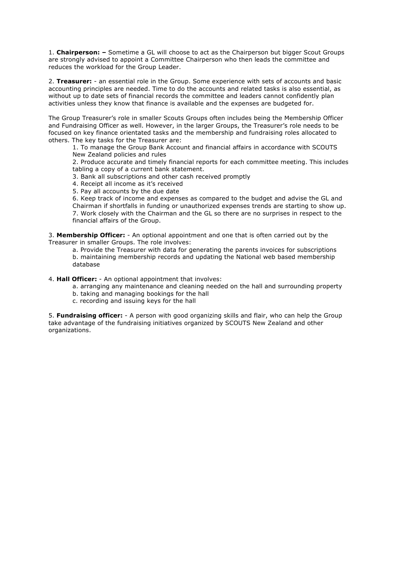1. **Chairperson: –** Sometime a GL will choose to act as the Chairperson but bigger Scout Groups are strongly advised to appoint a Committee Chairperson who then leads the committee and reduces the workload for the Group Leader.

2. **Treasurer:** - an essential role in the Group. Some experience with sets of accounts and basic accounting principles are needed. Time to do the accounts and related tasks is also essential, as without up to date sets of financial records the committee and leaders cannot confidently plan activities unless they know that finance is available and the expenses are budgeted for.

The Group Treasurer's role in smaller Scouts Groups often includes being the Membership Officer and Fundraising Officer as well. However, in the larger Groups, the Treasurer's role needs to be focused on key finance orientated tasks and the membership and fundraising roles allocated to others. The key tasks for the Treasurer are:

1. To manage the Group Bank Account and financial affairs in accordance with SCOUTS New Zealand policies and rules

2. Produce accurate and timely financial reports for each committee meeting. This includes tabling a copy of a current bank statement.

3. Bank all subscriptions and other cash received promptly

4. Receipt all income as it's received

5. Pay all accounts by the due date

6. Keep track of income and expenses as compared to the budget and advise the GL and Chairman if shortfalls in funding or unauthorized expenses trends are starting to show up. 7. Work closely with the Chairman and the GL so there are no surprises in respect to the financial affairs of the Group.

3. **Membership Officer:** - An optional appointment and one that is often carried out by the Treasurer in smaller Groups. The role involves:

a. Provide the Treasurer with data for generating the parents invoices for subscriptions b. maintaining membership records and updating the National web based membership database

4. **Hall Officer:** - An optional appointment that involves:

- a. arranging any maintenance and cleaning needed on the hall and surrounding property
- b. taking and managing bookings for the hall
- c. recording and issuing keys for the hall

5. **Fundraising officer:** - A person with good organizing skills and flair, who can help the Group take advantage of the fundraising initiatives organized by SCOUTS New Zealand and other organizations.